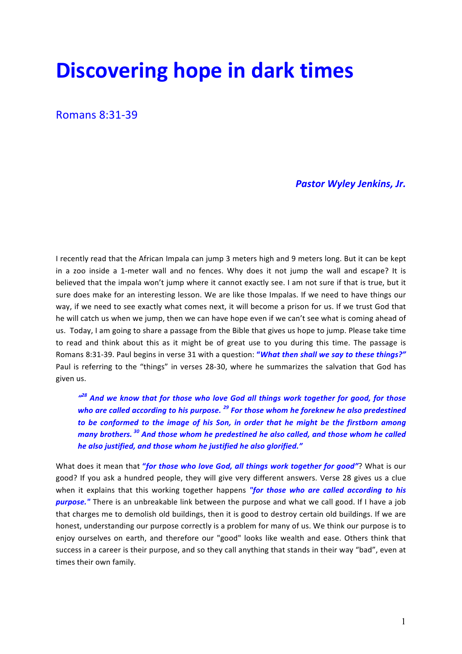# **Discovering hope in dark times**

Romans 8:31-39

## **Pastor Wyley Jenkins, Jr.**

I recently read that the African Impala can jump 3 meters high and 9 meters long. But it can be kept in a zoo inside a 1-meter wall and no fences. Why does it not jump the wall and escape? It is believed that the impala won't jump where it cannot exactly see. I am not sure if that is true, but it sure does make for an interesting lesson. We are like those Impalas. If we need to have things our way, if we need to see exactly what comes next, it will become a prison for us. If we trust God that he will catch us when we jump, then we can have hope even if we can't see what is coming ahead of us. Today, I am going to share a passage from the Bible that gives us hope to jump. Please take time to read and think about this as it might be of great use to you during this time. The passage is Romans 8:31-39. Paul begins in verse 31 with a question: "*What then shall we say to these things?"* Paul is referring to the "things" in verses 28-30, where he summarizes the salvation that God has given us.

 $''^{28}$  And we know that for those who love God all things work together for good, for those *who are called according to his purpose.* <sup>29</sup> For those whom he foreknew he also predestined *to* be conformed to the *image* of his Son, in order that he might be the firstborn among *many brothers.* <sup>30</sup> And those whom he predestined he also called, and those whom he called *he also justified, and those whom he justified he also glorified."* 

What does it mean that "*for those who love God, all things work together for good*"? What is our good? If you ask a hundred people, they will give very different answers. Verse 28 gives us a clue when it explains that this working together happens "for those who are called according to his **purpose.**" There is an unbreakable link between the purpose and what we call good. If I have a job that charges me to demolish old buildings, then it is good to destroy certain old buildings. If we are honest, understanding our purpose correctly is a problem for many of us. We think our purpose is to enjoy ourselves on earth, and therefore our "good" looks like wealth and ease. Others think that success in a career is their purpose, and so they call anything that stands in their way "bad", even at times their own family.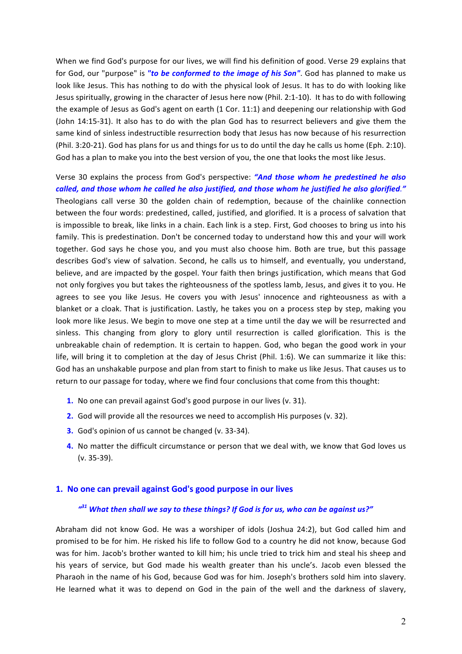When we find God's purpose for our lives, we will find his definition of good. Verse 29 explains that for God, our "purpose" is "to be conformed to the *image* of his Son". God has planned to make us look like Jesus. This has nothing to do with the physical look of Jesus. It has to do with looking like Jesus spiritually, growing in the character of Jesus here now (Phil. 2:1-10). It has to do with following the example of Jesus as God's agent on earth (1 Cor. 11:1) and deepening our relationship with God (John 14:15-31). It also has to do with the plan God has to resurrect believers and give them the same kind of sinless indestructible resurrection body that Jesus has now because of his resurrection (Phil. 3:20-21). God has plans for us and things for us to do until the day he calls us home (Eph. 2:10). God has a plan to make you into the best version of you, the one that looks the most like Jesus.

Verse 30 explains the process from God's perspective: "And those whom he predestined he also *called, and those whom he called he also justified, and those whom he justified he also glorified."* Theologians call verse 30 the golden chain of redemption, because of the chainlike connection between the four words: predestined, called, justified, and glorified. It is a process of salvation that is impossible to break, like links in a chain. Each link is a step. First, God chooses to bring us into his family. This is predestination. Don't be concerned today to understand how this and your will work together. God says he chose you, and you must also choose him. Both are true, but this passage describes God's view of salvation. Second, he calls us to himself, and eventually, you understand, believe, and are impacted by the gospel. Your faith then brings justification, which means that God not only forgives you but takes the righteousness of the spotless lamb, Jesus, and gives it to you. He agrees to see you like Jesus. He covers you with Jesus' innocence and righteousness as with a blanket or a cloak. That is justification. Lastly, he takes you on a process step by step, making you look more like Jesus. We begin to move one step at a time until the day we will be resurrected and sinless. This changing from glory to glory until resurrection is called glorification. This is the unbreakable chain of redemption. It is certain to happen. God, who began the good work in your life, will bring it to completion at the day of Jesus Christ (Phil. 1:6). We can summarize it like this: God has an unshakable purpose and plan from start to finish to make us like Jesus. That causes us to return to our passage for today, where we find four conclusions that come from this thought:

- **1.** No one can prevail against God's good purpose in our lives (v. 31).
- **2.** God will provide all the resources we need to accomplish His purposes (v. 32).
- **3.** God's opinion of us cannot be changed (v. 33-34).
- **4.** No matter the difficult circumstance or person that we deal with, we know that God loves us  $(v. 35-39)$ .

#### 1. No one can prevail against God's good purpose in our lives

### *" <sup>31</sup> What then shall we say to these things? If God is for us, who can be against us?"*

Abraham did not know God. He was a worshiper of idols (Joshua 24:2), but God called him and promised to be for him. He risked his life to follow God to a country he did not know, because God was for him. Jacob's brother wanted to kill him; his uncle tried to trick him and steal his sheep and his years of service, but God made his wealth greater than his uncle's. Jacob even blessed the Pharaoh in the name of his God, because God was for him. Joseph's brothers sold him into slavery. He learned what it was to depend on God in the pain of the well and the darkness of slavery,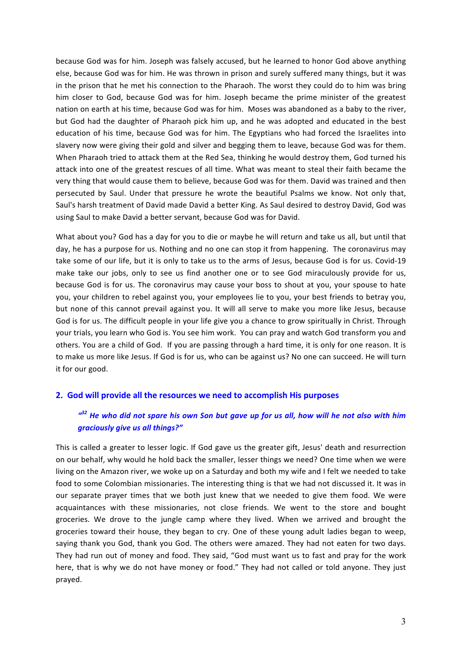because God was for him. Joseph was falsely accused, but he learned to honor God above anything else, because God was for him. He was thrown in prison and surely suffered many things, but it was in the prison that he met his connection to the Pharaoh. The worst they could do to him was bring him closer to God, because God was for him. Joseph became the prime minister of the greatest nation on earth at his time, because God was for him. Moses was abandoned as a baby to the river, but God had the daughter of Pharaoh pick him up, and he was adopted and educated in the best education of his time, because God was for him. The Egyptians who had forced the Israelites into slavery now were giving their gold and silver and begging them to leave, because God was for them. When Pharaoh tried to attack them at the Red Sea, thinking he would destroy them, God turned his attack into one of the greatest rescues of all time. What was meant to steal their faith became the very thing that would cause them to believe, because God was for them. David was trained and then persecuted by Saul. Under that pressure he wrote the beautiful Psalms we know. Not only that, Saul's harsh treatment of David made David a better King. As Saul desired to destroy David, God was using Saul to make David a better servant, because God was for David.

What about you? God has a day for you to die or maybe he will return and take us all, but until that day, he has a purpose for us. Nothing and no one can stop it from happening. The coronavirus may take some of our life, but it is only to take us to the arms of Jesus, because God is for us. Covid-19 make take our jobs, only to see us find another one or to see God miraculously provide for us, because God is for us. The coronavirus may cause your boss to shout at you, your spouse to hate you, your children to rebel against you, your employees lie to you, your best friends to betray you, but none of this cannot prevail against you. It will all serve to make you more like Jesus, because God is for us. The difficult people in your life give you a chance to grow spiritually in Christ. Through your trials, you learn who God is. You see him work. You can pray and watch God transform you and others. You are a child of God. If you are passing through a hard time, it is only for one reason. It is to make us more like Jesus. If God is for us, who can be against us? No one can succeed. He will turn it for our good.

#### **2.** God will provide all the resources we need to accomplish His purposes

## <sup> $d^{22}$ </sup> He who did not spare his own Son but gave up for us all, how will he not also with him *graciously give us all things?"*

This is called a greater to lesser logic. If God gave us the greater gift, Jesus' death and resurrection on our behalf, why would he hold back the smaller, lesser things we need? One time when we were living on the Amazon river, we woke up on a Saturday and both my wife and I felt we needed to take food to some Colombian missionaries. The interesting thing is that we had not discussed it. It was in our separate prayer times that we both just knew that we needed to give them food. We were acquaintances with these missionaries, not close friends. We went to the store and bought groceries. We drove to the jungle camp where they lived. When we arrived and brought the groceries toward their house, they began to cry. One of these young adult ladies began to weep, saying thank you God, thank you God. The others were amazed. They had not eaten for two days. They had run out of money and food. They said, "God must want us to fast and pray for the work here, that is why we do not have money or food." They had not called or told anyone. They just prayed.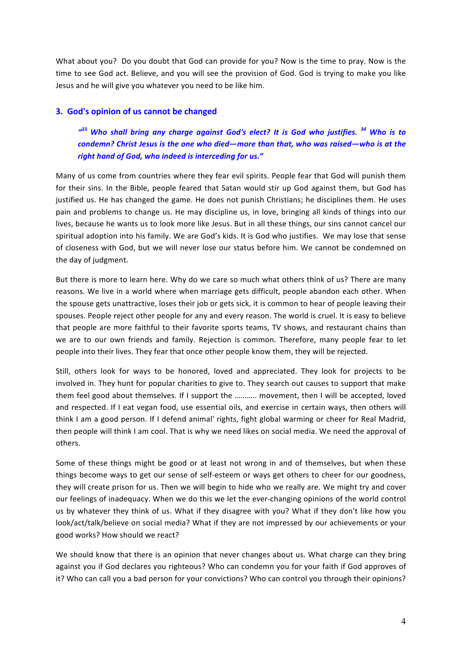What about you? Do you doubt that God can provide for you? Now is the time to pray. Now is the time to see God act. Believe, and you will see the provision of God. God is trying to make you like Jesus and he will give you whatever you need to be like him.

## **3.** God's opinion of us cannot be changed

<sup> $433$ </sup> Who shall bring any charge against God's elect? It is God who justifies.<sup>34</sup> Who is to *condemn?* Christ Jesus is the one who died—more than that, who was raised—who is at the right hand of God, who indeed is interceding for us."

Many of us come from countries where they fear evil spirits. People fear that God will punish them for their sins. In the Bible, people feared that Satan would stir up God against them, but God has justified us. He has changed the game. He does not punish Christians; he disciplines them. He uses pain and problems to change us. He may discipline us, in love, bringing all kinds of things into our lives, because he wants us to look more like Jesus. But in all these things, our sins cannot cancel our spiritual adoption into his family. We are God's kids. It is God who justifies. We may lose that sense of closeness with God, but we will never lose our status before him. We cannot be condemned on the day of judgment.

But there is more to learn here. Why do we care so much what others think of us? There are many reasons. We live in a world where when marriage gets difficult, people abandon each other. When the spouse gets unattractive, loses their job or gets sick, it is common to hear of people leaving their spouses. People reject other people for any and every reason. The world is cruel. It is easy to believe that people are more faithful to their favorite sports teams, TV shows, and restaurant chains than we are to our own friends and family. Rejection is common. Therefore, many people fear to let people into their lives. They fear that once other people know them, they will be rejected.

Still, others look for ways to be honored, loved and appreciated. They look for projects to be involved in. They hunt for popular charities to give to. They search out causes to support that make them feel good about themselves. If I support the ........... movement, then I will be accepted, loved and respected. If I eat vegan food, use essential oils, and exercise in certain ways, then others will think I am a good person. If I defend animal' rights, fight global warming or cheer for Real Madrid, then people will think I am cool. That is why we need likes on social media. We need the approval of others. 

Some of these things might be good or at least not wrong in and of themselves, but when these things become ways to get our sense of self-esteem or ways get others to cheer for our goodness, they will create prison for us. Then we will begin to hide who we really are. We might try and cover our feelings of inadequacy. When we do this we let the ever-changing opinions of the world control us by whatever they think of us. What if they disagree with you? What if they don't like how you look/act/talk/believe on social media? What if they are not impressed by our achievements or your good works? How should we react?

We should know that there is an opinion that never changes about us. What charge can they bring against you if God declares you righteous? Who can condemn you for your faith if God approves of it? Who can call you a bad person for your convictions? Who can control you through their opinions?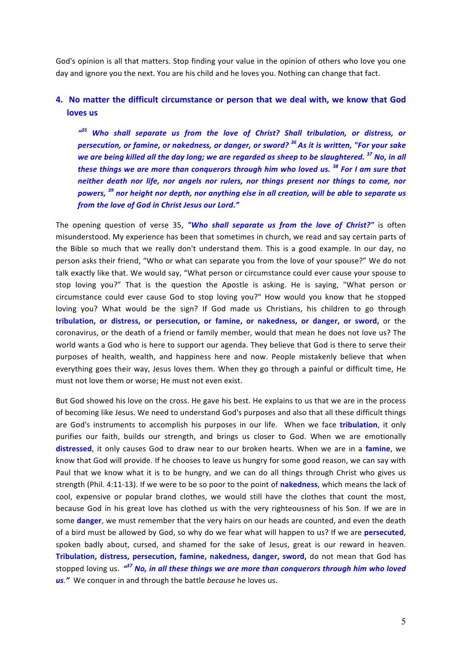God's opinion is all that matters. Stop finding your value in the opinion of others who love you one day and ignore you the next. You are his child and he loves you. Nothing can change that fact.

## **4.** No matter the difficult circumstance or person that we deal with, we know that God loves us

<sup>435</sup> Who shall separate us from the love of Christ? Shall tribulation, or distress, or *persecution, or famine, or nakedness, or danger, or sword?* <sup>36</sup> As it is written, "For your sake *we are being killed all the day long; we are regarded as sheep to be slaughtered.* <sup>37</sup> No, in all *these things we are more than conquerors through him who loved us.* <sup>38</sup> For I am sure that *neither death nor life, nor angels nor rulers, nor things present nor things to come, nor powers,* <sup>39</sup> nor height nor depth, nor anything else in all creation, will be able to separate us from the love of God in Christ Jesus our Lord."

The opening question of verse 35, "Who shall separate us from the love of Christ?" is often misunderstood. My experience has been that sometimes in church, we read and say certain parts of the Bible so much that we really don't understand them. This is a good example. In our day, no person asks their friend, "Who or what can separate you from the love of your spouse?" We do not talk exactly like that. We would say, "What person or circumstance could ever cause your spouse to stop loving you?" That is the question the Apostle is asking. He is saying, "What person or circumstance could ever cause God to stop loving you?" How would you know that he stopped loving you? What would be the sign? If God made us Christians, his children to go through tribulation, or distress, or persecution, or famine, or nakedness, or danger, or sword, or the coronavirus, or the death of a friend or family member, would that mean he does not love us? The world wants a God who is here to support our agenda. They believe that God is there to serve their purposes of health, wealth, and happiness here and now. People mistakenly believe that when everything goes their way, Jesus loves them. When they go through a painful or difficult time, He must not love them or worse; He must not even exist.

But God showed his love on the cross. He gave his best. He explains to us that we are in the process of becoming like Jesus. We need to understand God's purposes and also that all these difficult things are God's instruments to accomplish his purposes in our life. When we face **tribulation**, it only purifies our faith, builds our strength, and brings us closer to God. When we are emotionally **distressed**, it only causes God to draw near to our broken hearts. When we are in a famine, we know that God will provide. If he chooses to leave us hungry for some good reason, we can say with Paul that we know what it is to be hungry, and we can do all things through Christ who gives us strength (Phil. 4:11-13). If we were to be so poor to the point of nakedness, which means the lack of cool, expensive or popular brand clothes, we would still have the clothes that count the most, because God in his great love has clothed us with the very righteousness of his Son. If we are in some **danger**, we must remember that the very hairs on our heads are counted, and even the death of a bird must be allowed by God, so why do we fear what will happen to us? If we are **persecuted**, spoken badly about, cursed, and shamed for the sake of Jesus, great is our reward in heaven. **Tribulation, distress, persecution, famine, nakedness, danger, sword,** do not mean that God has stopped loving us. <sup>1437</sup> No, in all these things we are more than conquerors through him who loved **us**.<sup>*"*</sup> We conquer in and through the battle *because* he loves us.